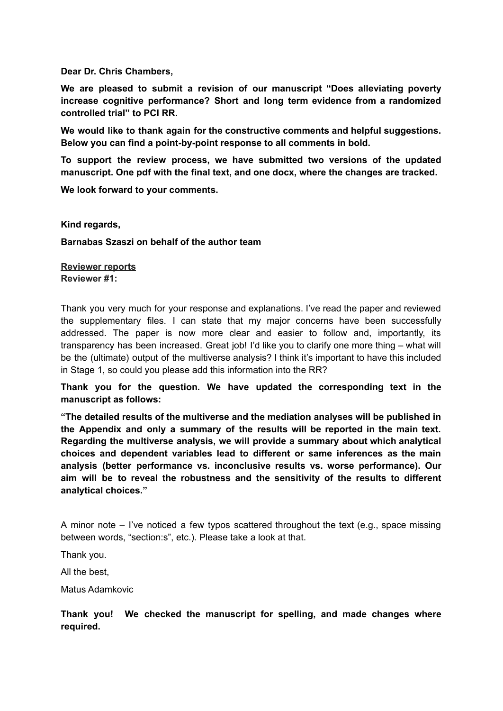**Dear Dr. Chris Chambers,**

**We are pleased to submit a revision of our manuscript "Does alleviating poverty increase cognitive performance? Short and long term evidence from a randomized controlled trial" to PCI RR.**

**We would like to thank again for the constructive comments and helpful suggestions. Below you can find a point-by-point response to all comments in bold.**

**To support the review process, we have submitted two versions of the updated manuscript. One pdf with the final text, and one docx, where the changes are tracked.**

**We look forward to your comments.**

**Kind regards,**

**Barnabas Szaszi on behalf of the author team**

**Reviewer reports Reviewer #1:**

Thank you very much for your response and explanations. I've read the paper and reviewed the supplementary files. I can state that my major concerns have been successfully addressed. The paper is now more clear and easier to follow and, importantly, its transparency has been increased. Great job! I'd like you to clarify one more thing – what will be the (ultimate) output of the multiverse analysis? I think it's important to have this included in Stage 1, so could you please add this information into the RR?

**Thank you for the question. We have updated the corresponding text in the manuscript as follows:**

**"The detailed results of the multiverse and the mediation analyses will be published in the Appendix and only a summary of the results will be reported in the main text. Regarding the multiverse analysis, we will provide a summary about which analytical choices and dependent variables lead to different or same inferences as the main analysis (better performance vs. inconclusive results vs. worse performance). Our aim will be to reveal the robustness and the sensitivity of the results to different analytical choices."**

A minor note  $-1$  ive noticed a few typos scattered throughout the text (e.g., space missing between words, "section:s", etc.). Please take a look at that.

Thank you.

All the best,

Matus Adamkovic

**Thank you! We checked the manuscript for spelling, and made changes where required.**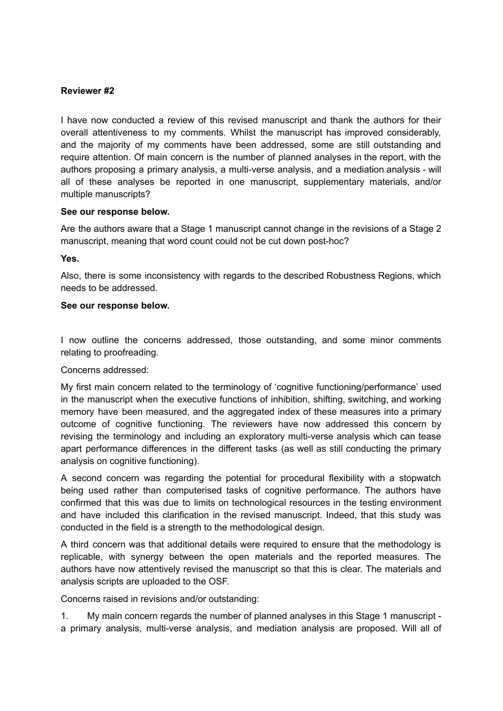### **Reviewer #2**

I have now conducted a review of this revised manuscript and thank the authors for their overall attentiveness to my comments. Whilst the manuscript has improved considerably, and the majority of my comments have been addressed, some are still outstanding and require attention. Of main concern is the number of planned analyses in the report, with the authors proposing a primary analysis, a multi-verse analysis, and a mediation analysis - will all of these analyses be reported in one manuscript, supplementary materials, and/or multiple manuscripts?

#### **See our response below.**

Are the authors aware that a Stage 1 manuscript cannot change in the revisions of a Stage 2 manuscript, meaning that word count could not be cut down post-hoc?

#### **Yes.**

Also, there is some inconsistency with regards to the described Robustness Regions, which needs to be addressed.

#### **See our response below.**

I now outline the concerns addressed, those outstanding, and some minor comments relating to proofreading.

### Concerns addressed:

My first main concern related to the terminology of 'cognitive functioning/performance' used in the manuscript when the executive functions of inhibition, shifting, switching, and working memory have been measured, and the aggregated index of these measures into a primary outcome of cognitive functioning. The reviewers have now addressed this concern by revising the terminology and including an exploratory multi-verse analysis which can tease apart performance differences in the different tasks (as well as still conducting the primary analysis on cognitive functioning).

A second concern was regarding the potential for procedural flexibility with a stopwatch being used rather than computerised tasks of cognitive performance. The authors have confirmed that this was due to limits on technological resources in the testing environment and have included this clarification in the revised manuscript. Indeed, that this study was conducted in the field is a strength to the methodological design.

A third concern was that additional details were required to ensure that the methodology is replicable, with synergy between the open materials and the reported measures. The authors have now attentively revised the manuscript so that this is clear. The materials and analysis scripts are uploaded to the OSF.

Concerns raised in revisions and/or outstanding:

1. My main concern regards the number of planned analyses in this Stage 1 manuscript a primary analysis, multi-verse analysis, and mediation analysis are proposed. Will all of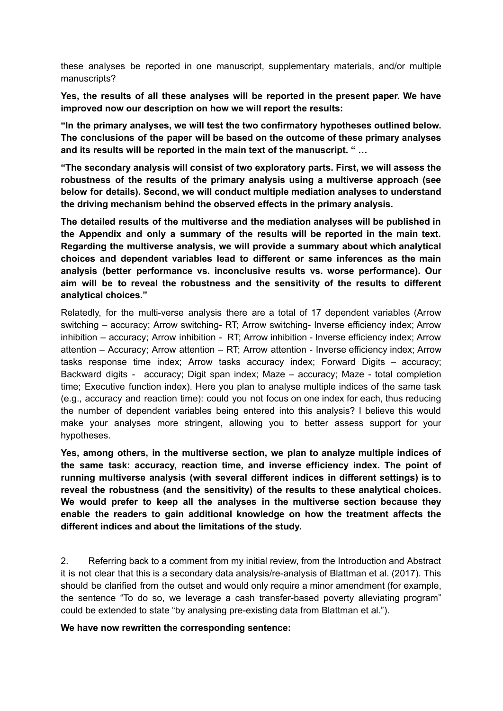these analyses be reported in one manuscript, supplementary materials, and/or multiple manuscripts?

**Yes, the results of all these analyses will be reported in the present paper. We have improved now our description on how we will report the results:**

**"In the primary analyses, we will test the two confirmatory hypotheses outlined below. The conclusions of the paper will be based on the outcome of these primary analyses and its results will be reported in the main text of the manuscript. " …**

**"The secondary analysis will consist of two exploratory parts. First, we will assess the robustness of the results of the primary analysis using a multiverse approach (see below for details). Second, we will conduct multiple mediation analyses to understand the driving mechanism behind the observed effects in the primary analysis.**

**The detailed results of the multiverse and the mediation analyses will be published in the Appendix and only a summary of the results will be reported in the main text. Regarding the multiverse analysis, we will provide a summary about which analytical choices and dependent variables lead to different or same inferences as the main analysis (better performance vs. inconclusive results vs. worse performance). Our aim will be to reveal the robustness and the sensitivity of the results to different analytical choices."**

Relatedly, for the multi-verse analysis there are a total of 17 dependent variables (Arrow switching – accuracy; Arrow switching- RT; Arrow switching- Inverse efficiency index; Arrow inhibition – accuracy; Arrow inhibition - RT; Arrow inhibition - Inverse efficiency index; Arrow attention – Accuracy; Arrow attention – RT; Arrow attention - Inverse efficiency index; Arrow tasks response time index; Arrow tasks accuracy index; Forward Digits – accuracy; Backward digits - accuracy; Digit span index; Maze – accuracy; Maze - total completion time; Executive function index). Here you plan to analyse multiple indices of the same task (e.g., accuracy and reaction time): could you not focus on one index for each, thus reducing the number of dependent variables being entered into this analysis? I believe this would make your analyses more stringent, allowing you to better assess support for your hypotheses.

**Yes, among others, in the multiverse section, we plan to analyze multiple indices of the same task: accuracy, reaction time, and inverse efficiency index. The point of running multiverse analysis (with several different indices in different settings) is to reveal the robustness (and the sensitivity) of the results to these analytical choices. We would prefer to keep all the analyses in the multiverse section because they enable the readers to gain additional knowledge on how the treatment affects the different indices and about the limitations of the study.**

2. Referring back to a comment from my initial review, from the Introduction and Abstract it is not clear that this is a secondary data analysis/re-analysis of Blattman et al. (2017). This should be clarified from the outset and would only require a minor amendment (for example, the sentence "To do so, we leverage a cash transfer-based poverty alleviating program" could be extended to state "by analysing pre-existing data from Blattman et al.").

**We have now rewritten the corresponding sentence:**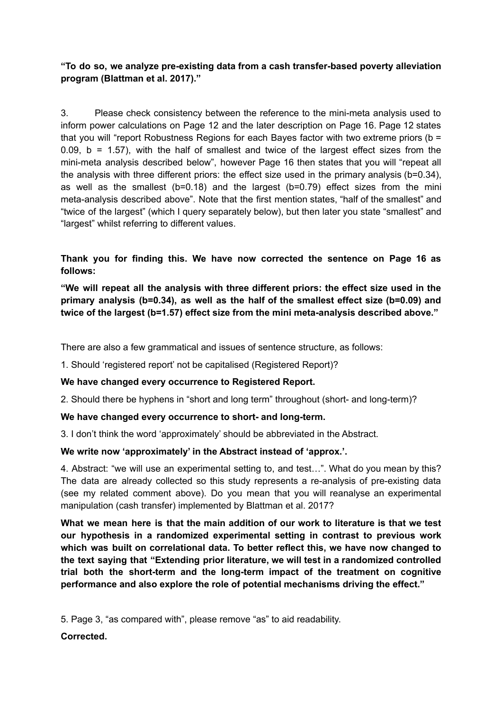**"To do so, we analyze pre-existing data from a cash transfer-based poverty alleviation program (Blattman et al. 2017)."**

3. Please check consistency between the reference to the mini-meta analysis used to inform power calculations on Page 12 and the later description on Page 16. Page 12 states that you will "report Robustness Regions for each Bayes factor with two extreme priors (b = 0.09,  $b = 1.57$ ), with the half of smallest and twice of the largest effect sizes from the mini-meta analysis described below", however Page 16 then states that you will "repeat all the analysis with three different priors: the effect size used in the primary analysis (b=0.34), as well as the smallest (b=0.18) and the largest (b=0.79) effect sizes from the mini meta-analysis described above". Note that the first mention states, "half of the smallest" and "twice of the largest" (which I query separately below), but then later you state "smallest" and "largest" whilst referring to different values.

# **Thank you for finding this. We have now corrected the sentence on Page 16 as follows:**

**"We will repeat all the analysis with three different priors: the effect size used in the primary analysis (b=0.34), as well as the half of the smallest effect size (b=0.09) and twice of the largest (b=1.57) effect size from the mini meta-analysis described above."**

There are also a few grammatical and issues of sentence structure, as follows:

1. Should 'registered report' not be capitalised (Registered Report)?

# **We have changed every occurrence to Registered Report.**

2. Should there be hyphens in "short and long term" throughout (short- and long-term)?

# **We have changed every occurrence to short- and long-term.**

3. I don't think the word 'approximately' should be abbreviated in the Abstract.

# **We write now 'approximately' in the Abstract instead of 'approx.'.**

4. Abstract: "we will use an experimental setting to, and test…". What do you mean by this? The data are already collected so this study represents a re-analysis of pre-existing data (see my related comment above). Do you mean that you will reanalyse an experimental manipulation (cash transfer) implemented by Blattman et al. 2017?

**What we mean here is that the main addition of our work to literature is that we test our hypothesis in a randomized experimental setting in contrast to previous work which was built on correlational data. To better reflect this, we have now changed to the text saying that "Extending prior literature, we will test in a randomized controlled trial both the short-term and the long-term impact of the treatment on cognitive performance and also explore the role of potential mechanisms driving the effect."**

5. Page 3, "as compared with", please remove "as" to aid readability.

# **Corrected.**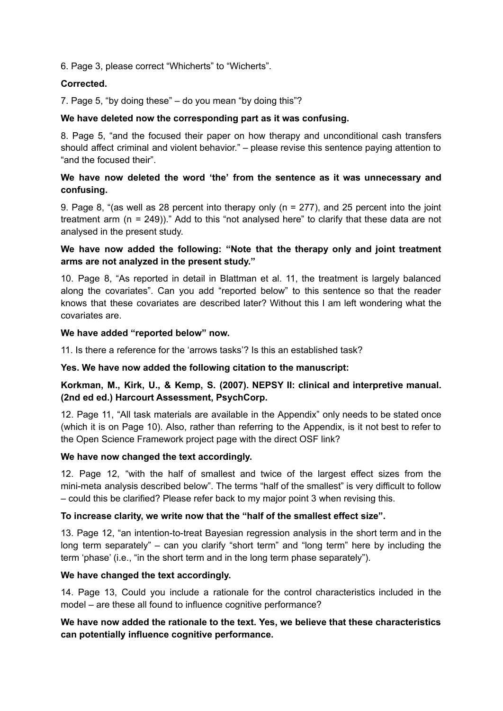6. Page 3, please correct "Whicherts" to "Wicherts".

### **Corrected.**

7. Page 5, "by doing these" – do you mean "by doing this"?

### **We have deleted now the corresponding part as it was confusing.**

8. Page 5, "and the focused their paper on how therapy and unconditional cash transfers should affect criminal and violent behavior." – please revise this sentence paying attention to "and the focused their".

### **We have now deleted the word 'the' from the sentence as it was unnecessary and confusing.**

9. Page 8, "(as well as 28 percent into therapy only (n = 277), and 25 percent into the joint treatment arm (n = 249))." Add to this "not analysed here" to clarify that these data are not analysed in the present study.

### **We have now added the following: "Note that the therapy only and joint treatment arms are not analyzed in the present study."**

10. Page 8, "As reported in detail in Blattman et al. 11, the treatment is largely balanced along the covariates". Can you add "reported below" to this sentence so that the reader knows that these covariates are described later? Without this I am left wondering what the covariates are.

### **We have added "reported below" now.**

11. Is there a reference for the 'arrows tasks'? Is this an established task?

### **Yes. We have now added the following citation to the manuscript:**

# **Korkman, M., Kirk, U., & Kemp, S. (2007). NEPSY II: clinical and interpretive manual. (2nd ed ed.) Harcourt Assessment, PsychCorp.**

12. Page 11, "All task materials are available in the Appendix" only needs to be stated once (which it is on Page 10). Also, rather than referring to the Appendix, is it not best to refer to the Open Science Framework project page with the direct OSF link?

### **We have now changed the text accordingly.**

12. Page 12, "with the half of smallest and twice of the largest effect sizes from the mini-meta analysis described below". The terms "half of the smallest" is very difficult to follow – could this be clarified? Please refer back to my major point 3 when revising this.

### **To increase clarity, we write now that the "half of the smallest effect size".**

13. Page 12, "an intention-to-treat Bayesian regression analysis in the short term and in the long term separately" – can you clarify "short term" and "long term" here by including the term 'phase' (i.e., "in the short term and in the long term phase separately").

# **We have changed the text accordingly.**

14. Page 13, Could you include a rationale for the control characteristics included in the model – are these all found to influence cognitive performance?

# **We have now added the rationale to the text. Yes, we believe that these characteristics can potentially influence cognitive performance.**